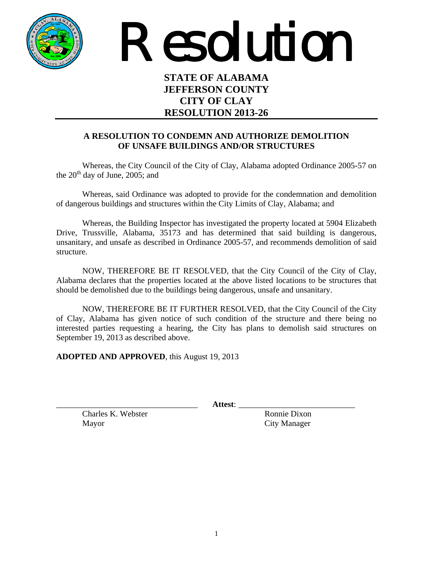

Resolution

## **STATE OF ALABAMA JEFFERSON COUNTY CITY OF CLAY RESOLUTION 2013-26**

## **A RESOLUTION TO CONDEMN AND AUTHORIZE DEMOLITION OF UNSAFE BUILDINGS AND/OR STRUCTURES**

Whereas, the City Council of the City of Clay, Alabama adopted Ordinance 2005-57 on the  $20<sup>th</sup>$  day of June, 2005; and

 Whereas, said Ordinance was adopted to provide for the condemnation and demolition of dangerous buildings and structures within the City Limits of Clay, Alabama; and

 Whereas, the Building Inspector has investigated the property located at 5904 Elizabeth Drive, Trussville, Alabama, 35173 and has determined that said building is dangerous, unsanitary, and unsafe as described in Ordinance 2005-57, and recommends demolition of said structure.

 NOW, THEREFORE BE IT RESOLVED, that the City Council of the City of Clay, Alabama declares that the properties located at the above listed locations to be structures that should be demolished due to the buildings being dangerous, unsafe and unsanitary.

NOW, THEREFORE BE IT FURTHER RESOLVED, that the City Council of the City of Clay, Alabama has given notice of such condition of the structure and there being no interested parties requesting a hearing, the City has plans to demolish said structures on September 19, 2013 as described above.

**ADOPTED AND APPROVED**, this August 19, 2013

 $\bf{Attest:}$ 

Charles K. Webster Ronnie Dixon Mayor City Manager